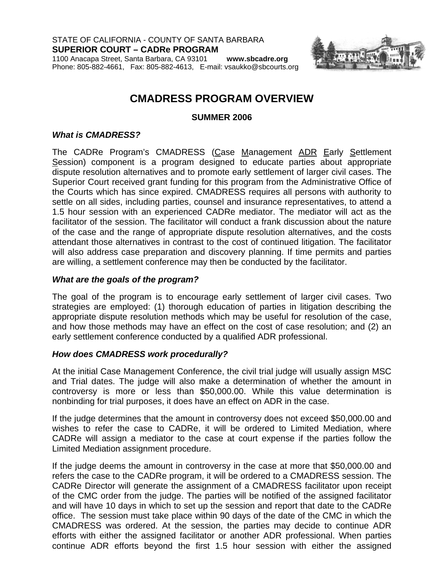STATE OF CALIFORNIA - COUNTY OF SANTA BARBARA **SUPERIOR COURT – CADRe PROGRAM** 

1100 Anacapa Street, Santa Barbara, CA 93101 **www.sbcadre.org** Phone: 805-882-4661, Fax: 805-882-4613, E-mail: vsaukko@sbcourts.org



# **CMADRESS PROGRAM OVERVIEW**

**SUMMER 2006**

### *What is CMADRESS?*

The CADRe Program's CMADRESS (Case Management ADR Early Settlement Session) component is a program designed to educate parties about appropriate dispute resolution alternatives and to promote early settlement of larger civil cases. The Superior Court received grant funding for this program from the Administrative Office of the Courts which has since expired. CMADRESS requires all persons with authority to settle on all sides, including parties, counsel and insurance representatives, to attend a 1.5 hour session with an experienced CADRe mediator. The mediator will act as the facilitator of the session. The facilitator will conduct a frank discussion about the nature of the case and the range of appropriate dispute resolution alternatives, and the costs attendant those alternatives in contrast to the cost of continued litigation. The facilitator will also address case preparation and discovery planning. If time permits and parties are willing, a settlement conference may then be conducted by the facilitator.

#### *What are the goals of the program?*

The goal of the program is to encourage early settlement of larger civil cases. Two strategies are employed: (1) thorough education of parties in litigation describing the appropriate dispute resolution methods which may be useful for resolution of the case, and how those methods may have an effect on the cost of case resolution; and (2) an early settlement conference conducted by a qualified ADR professional.

### *How does CMADRESS work procedurally?*

At the initial Case Management Conference, the civil trial judge will usually assign MSC and Trial dates. The judge will also make a determination of whether the amount in controversy is more or less than \$50,000.00. While this value determination is nonbinding for trial purposes, it does have an effect on ADR in the case.

If the judge determines that the amount in controversy does not exceed \$50,000.00 and wishes to refer the case to CADRe, it will be ordered to Limited Mediation, where CADRe will assign a mediator to the case at court expense if the parties follow the Limited Mediation assignment procedure.

If the judge deems the amount in controversy in the case at more that \$50,000.00 and refers the case to the CADRe program, it will be ordered to a CMADRESS session. The CADRe Director will generate the assignment of a CMADRESS facilitator upon receipt of the CMC order from the judge. The parties will be notified of the assigned facilitator and will have 10 days in which to set up the session and report that date to the CADRe office. The session must take place within 90 days of the date of the CMC in which the CMADRESS was ordered. At the session, the parties may decide to continue ADR efforts with either the assigned facilitator or another ADR professional. When parties continue ADR efforts beyond the first 1.5 hour session with either the assigned